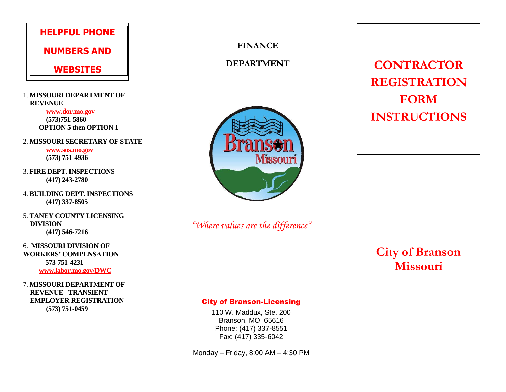# **HELPFUL PHONE**

**NUMBERS AND**

## **WEBSITES**

1. **MISSOURI DEPARTMENT OF REVENUE**

> **www.dor.mo.gov (573)751-5860 OPTION 5 then OPTION 1**

2. **MISSOURI SECRETARY OF STATE**

**[www.sos.mo.gov](http://www.sos.mo.gov/) (573) 751-4936**

- 3**. FIRE DEPT. INSPECTIONS (417) 243-2780**
- 4. **BUILDING DEPT. INSPECTIONS (417) 337-8505**

5. **TANEY COUNTY LICENSING DIVISION (417) 546-7216**

6. **MISSOURI DIVISION OF WORKERS' COMPENSATION 573-751-4231 www.labor.mo.gov/DWC**

7. **MISSOURI DEPARTMENT OF REVENUE –TRANSIENT EMPLOYER REGISTRATION (573) 751-0459**

**FINANCE**

## **DEPARTMENT**



*"Where values are the difference"*

**City of Branson Missouri**

**CONTRACTOR**

**REGISTRATION**

**FORM**

**INSTRUCTIONS**

#### City of Branson-Licensing

110 W. Maddux, Ste. 200 Branson, MO 65616 Phone: (417) 337-8551 Fax: (417) 335-6042

Monday – Friday, 8:00 AM – 4:30 PM